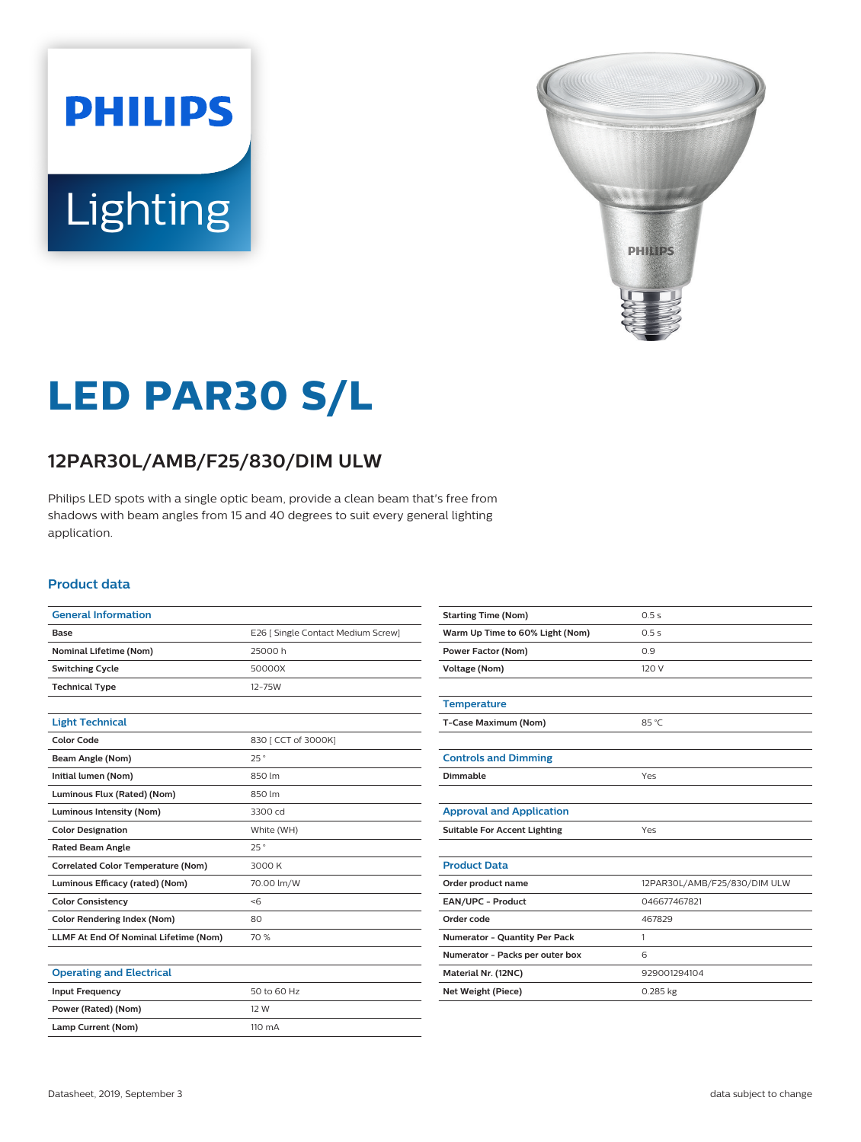# **PHILIPS** Lighting



# **LED PAR30 S/L**

### **12PAR30L/AMB/F25/830/DIM ULW**

Philips LED spots with a single optic beam, provide a clean beam that's free from shadows with beam angles from 15 and 40 degrees to suit every general lighting application.

#### **Product data**

| <b>General Information</b>                   |                                    |
|----------------------------------------------|------------------------------------|
| <b>Base</b>                                  | E26   Single Contact Medium Screw] |
| <b>Nominal Lifetime (Nom)</b>                | 25000h                             |
| <b>Switching Cycle</b>                       | 50000X                             |
| <b>Technical Type</b>                        | $12 - 75W$                         |
|                                              |                                    |
| <b>Light Technical</b>                       |                                    |
| Color Code                                   | 830   CCT of 3000K]                |
| Beam Angle (Nom)                             | 25°                                |
| Initial lumen (Nom)                          | 850 lm                             |
| Luminous Flux (Rated) (Nom)                  | 850 lm                             |
| <b>Luminous Intensity (Nom)</b>              | 3300 cd                            |
| <b>Color Designation</b>                     | White (WH)                         |
| <b>Rated Beam Angle</b>                      | 25°                                |
| <b>Correlated Color Temperature (Nom)</b>    | 3000 K                             |
| Luminous Efficacy (rated) (Nom)              | 70.00 lm/W                         |
| <b>Color Consistency</b>                     | <6                                 |
| <b>Color Rendering Index (Nom)</b>           | 80                                 |
| <b>LLMF At End Of Nominal Lifetime (Nom)</b> | 70 %                               |
|                                              |                                    |
| <b>Operating and Electrical</b>              |                                    |
| <b>Input Frequency</b>                       | 50 to 60 Hz                        |

| <b>Starting Time (Nom)</b>           | 0.5s                         |
|--------------------------------------|------------------------------|
| Warm Up Time to 60% Light (Nom)      | 0.5s                         |
| <b>Power Factor (Nom)</b>            | 0.9                          |
| <b>Voltage (Nom)</b>                 | 120 V                        |
|                                      |                              |
| <b>Temperature</b>                   |                              |
| T-Case Maximum (Nom)                 | 85 °C                        |
|                                      |                              |
| <b>Controls and Dimming</b>          |                              |
| Dimmable                             | Yes                          |
|                                      |                              |
| <b>Approval and Application</b>      |                              |
| <b>Suitable For Accent Lighting</b>  | Yes                          |
|                                      |                              |
| <b>Product Data</b>                  |                              |
| Order product name                   | 12PAR30L/AMB/F25/830/DIM ULW |
| EAN/UPC - Product                    | 046677467821                 |
| Order code                           | 467829                       |
| <b>Numerator - Quantity Per Pack</b> | 1                            |
| Numerator - Packs per outer box      | 6                            |
| Material Nr. (12NC)                  | 929001294104                 |
| Net Weight (Piece)                   | 0.285 kg                     |
|                                      |                              |

**Power (Rated) (Nom)** 12 W Lamp Current (Nom) 110 mA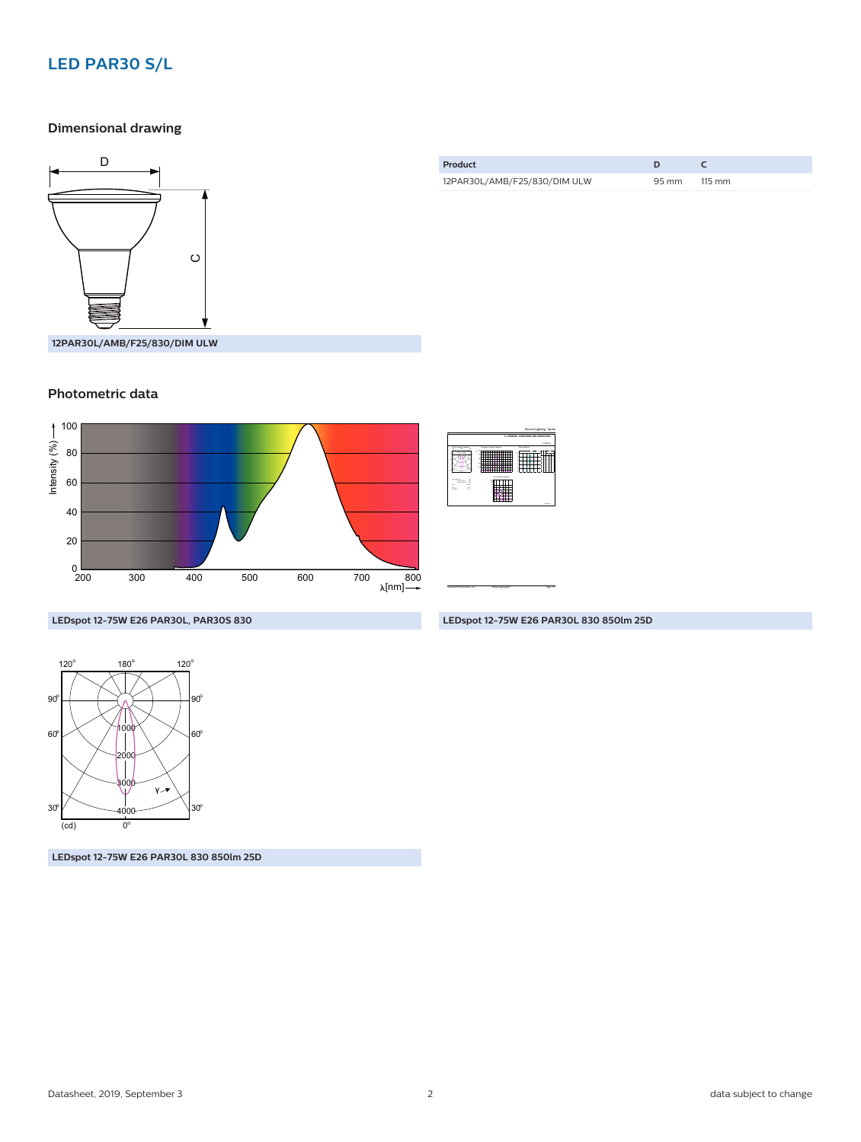#### **LED PAR30 S/L**

#### **Dimensional drawing**



| Product                      |       |                  |  |
|------------------------------|-------|------------------|--|
| 12PAR30L/AMB/F25/830/DIM ULW | 95 mm | $115 \text{ mm}$ |  |

## **Photometric data**



| <b>LARGE</b><br>Constant Imports disease<br><b>Basic degree</b><br><b>AN BARN</b><br>×<br>Your cars forum<br>--<br><b>STATISTICS</b><br>---<br>$\mathbf{u}$<br>m.<br>a.<br><b>Corp.</b><br>22<br>÷<br><b>Marine</b> | 1 + PAR30L 12W2000K 21D 9290012941 |  |  |  |
|---------------------------------------------------------------------------------------------------------------------------------------------------------------------------------------------------------------------|------------------------------------|--|--|--|
|                                                                                                                                                                                                                     |                                    |  |  |  |
|                                                                                                                                                                                                                     |                                    |  |  |  |
|                                                                                                                                                                                                                     |                                    |  |  |  |

CalcuLuX Photometrics 4.5 Philips Lighting B.V. Page: 1/1

**LEDspot 12-75W E26 PAR30L, PAR30S 830**



**LEDspot 12-75W E26 PAR30L 830 850lm 25D**

**LEDspot 12-75W E26 PAR30L 830 850lm 25D**

Accent Lighting - Spots